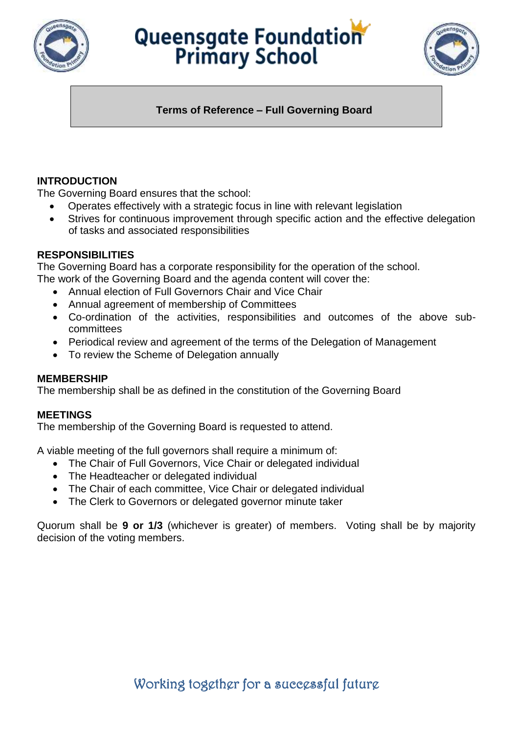

# Queensgate Foundation



### **Terms of Reference – Full Governing Board**

#### **INTRODUCTION**

The Governing Board ensures that the school:

- Operates effectively with a strategic focus in line with relevant legislation
- Strives for continuous improvement through specific action and the effective delegation of tasks and associated responsibilities

#### **RESPONSIBILITIES**

The Governing Board has a corporate responsibility for the operation of the school.

- The work of the Governing Board and the agenda content will cover the:
	- Annual election of Full Governors Chair and Vice Chair
	- Annual agreement of membership of Committees
	- Co-ordination of the activities, responsibilities and outcomes of the above subcommittees
	- Periodical review and agreement of the terms of the Delegation of Management
	- To review the Scheme of Delegation annually

#### **MEMBERSHIP**

The membership shall be as defined in the constitution of the Governing Board

#### **MEETINGS**

The membership of the Governing Board is requested to attend.

A viable meeting of the full governors shall require a minimum of:

- The Chair of Full Governors, Vice Chair or delegated individual
- The Headteacher or delegated individual
- The Chair of each committee, Vice Chair or delegated individual
- The Clerk to Governors or delegated governor minute taker

Quorum shall be **9 or 1/3** (whichever is greater) of members. Voting shall be by majority decision of the voting members.